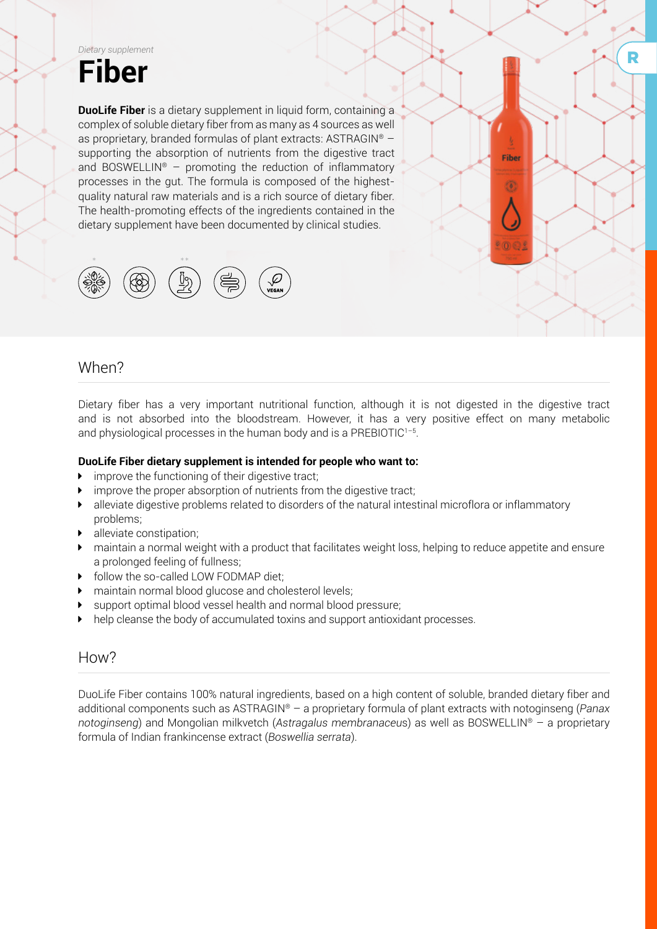

**DuoLife Fiber** is a dietary supplement in liquid form, containing a complex of soluble dietary fiber from as many as 4 sources as well as proprietary, branded formulas of plant extracts: ASTRAGIN® – supporting the absorption of nutrients from the digestive tract and BOSWELLIN<sup>®</sup> – promoting the reduction of inflammatory processes in the gut. The formula is composed of the highestquality natural raw materials and is a rich source of dietary fiber. The health-promoting effects of the ingredients contained in the dietary supplement have been documented by clinical studies.



### When?

Dietary fiber has a very important nutritional function, although it is not digested in the digestive tract and is not absorbed into the bloodstream. However, it has a very positive effect on many metabolic and physiological processes in the human body and is a PREBIOTIC1–5.

Fibe

۵

#### **DuoLife Fiber dietary supplement is intended for people who want to:**

- improve the functioning of their digestive tract;
- $\blacktriangleright$  improve the proper absorption of nutrients from the digestive tract;
- alleviate digestive problems related to disorders of the natural intestinal microflora or inflammatory problems;
- alleviate constipation;
- maintain a normal weight with a product that facilitates weight loss, helping to reduce appetite and ensure a prolonged feeling of fullness;
- follow the so-called LOW FODMAP diet:
- ▶ maintain normal blood glucose and cholesterol levels;
- support optimal blood vessel health and normal blood pressure;
- $\blacktriangleright$  help cleanse the body of accumulated toxins and support antioxidant processes.

### How?

DuoLife Fiber contains 100% natural ingredients, based on a high content of soluble, branded dietary fiber and additional components such as ASTRAGIN® – a proprietary formula of plant extracts with notoginseng (*Panax notoginseng*) and Mongolian milkvetch (*Astragalus membranaceu*s) as well as BOSWELLIN® – a proprietary formula of Indian frankincense extract (*Boswellia serrata*).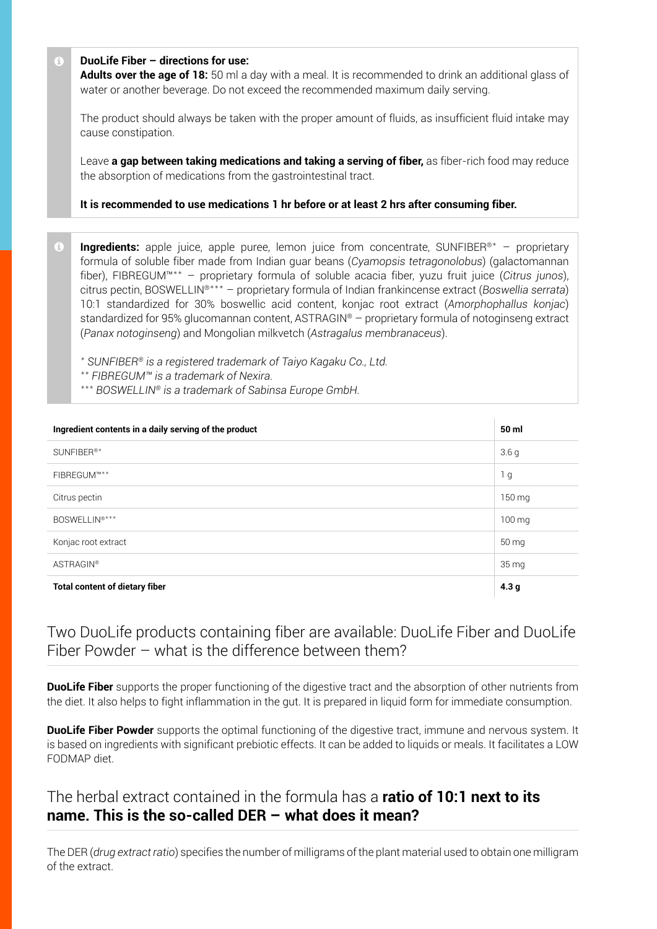#### **DuoLife Fiber – directions for use:**

**Adults over the age of 18:** 50 ml a day with a meal. It is recommended to drink an additional glass of water or another beverage. Do not exceed the recommended maximum daily serving.

The product should always be taken with the proper amount of fluids, as insufficient fluid intake may cause constipation.

Leave **a gap between taking medications and taking a serving of fiber,** as fiber-rich food may reduce the absorption of medications from the gastrointestinal tract.

**It is recommended to use medications 1 hr before or at least 2 hrs after consuming fiber.**

**Ingredients:** apple juice, apple puree, lemon juice from concentrate, SUNFIBER<sup>®\*</sup> – proprietary formula of soluble fiber made from Indian guar beans (*Cyamopsis tetragonolobus*) (galactomannan fiber), FIBREGUM™\*\* – proprietary formula of soluble acacia fiber, yuzu fruit juice (*Citrus junos*), citrus pectin, BOSWELLIN®\*\*\* – proprietary formula of Indian frankincense extract (*Boswellia serrata*) 10:1 standardized for 30% boswellic acid content, konjac root extract (*Amorphophallus konjac*) standardized for 95% glucomannan content, ASTRAGIN® – proprietary formula of notoginseng extract (*Panax notoginseng*) and Mongolian milkvetch (*Astragalus membranaceus*).

*\* SUNFIBER® is a registered trademark of Taiyo Kagaku Co., Ltd.*

- *\*\* FIBREGUM™ is a trademark of Nexira.*
- *\*\*\* BOSWELLIN® is a trademark of Sabinsa Europe GmbH.*

| Ingredient contents in a daily serving of the product | 50 ml              |
|-------------------------------------------------------|--------------------|
| SUNFIBER <sup>®*</sup>                                | 3.6 <sub>g</sub>   |
| FIBREGUM™**                                           | 1 <sub>g</sub>     |
| Citrus pectin                                         | 150 mg             |
| BOSWELLIN <sup>®***</sup>                             | 100 mg             |
| Konjac root extract                                   | 50 mg              |
| <b>ASTRAGIN®</b>                                      | $35 \,\mathrm{mg}$ |
| <b>Total content of dietary fiber</b>                 | 4.3 <sub>g</sub>   |

### Two DuoLife products containing fiber are available: DuoLife Fiber and DuoLife Fiber Powder – what is the difference between them?

**DuoLife Fiber** supports the proper functioning of the digestive tract and the absorption of other nutrients from the diet. It also helps to fight inflammation in the gut. It is prepared in liquid form for immediate consumption.

**DuoLife Fiber Powder** supports the optimal functioning of the digestive tract, immune and nervous system. It is based on ingredients with significant prebiotic effects. It can be added to liquids or meals. It facilitates a LOW FODMAP diet.

## The herbal extract contained in the formula has a **ratio of 10:1 next to its name. This is the so-called DER – what does it mean?**

The DER (*drug extract ratio*) specifies the number of milligrams of the plant material used to obtain one milligram of the extract.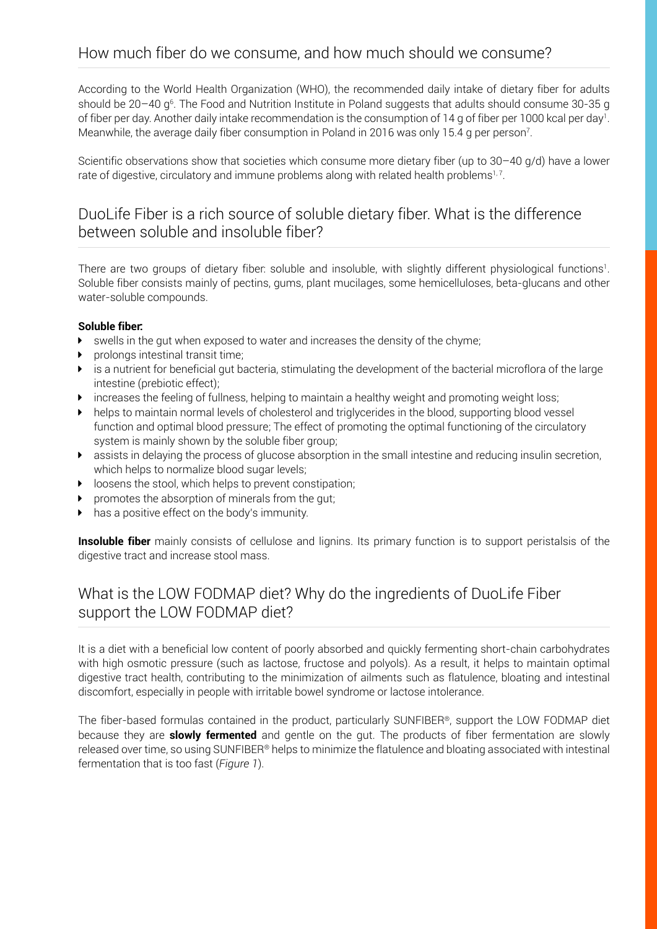According to the World Health Organization (WHO), the recommended daily intake of dietary fiber for adults should be 20–40 g<sup>6</sup>. The Food and Nutrition Institute in Poland suggests that adults should consume 30-35 g of fiber per day. Another daily intake recommendation is the consumption of 14 g of fiber per 1000 kcal per day<sup>1</sup>. Meanwhile, the average daily fiber consumption in Poland in 2016 was only 15.4 g per person $^7$ .

Scientific observations show that societies which consume more dietary fiber (up to 30–40 g/d) have a lower rate of digestive, circulatory and immune problems along with related health problems<sup>1,7</sup>.

# DuoLife Fiber is a rich source of soluble dietary fiber. What is the difference between soluble and insoluble fiber?

There are two groups of dietary fiber: soluble and insoluble, with slightly different physiological functions<sup>1</sup> . Soluble fiber consists mainly of pectins, gums, plant mucilages, some hemicelluloses, beta-glucans and other water-soluble compounds.

#### **Soluble fiber:**

- $\triangleright$  swells in the gut when exposed to water and increases the density of the chyme;
- $\triangleright$  prolongs intestinal transit time;
- $\blacktriangleright$  is a nutrient for beneficial gut bacteria, stimulating the development of the bacterial microflora of the large intestine (prebiotic effect);
- $\blacktriangleright$  increases the feeling of fullness, helping to maintain a healthy weight and promoting weight loss;
- $\blacktriangleright$  helps to maintain normal levels of cholesterol and triglycerides in the blood, supporting blood vessel function and optimal blood pressure; The effect of promoting the optimal functioning of the circulatory system is mainly shown by the soluble fiber group;
- $\blacktriangleright$  assists in delaying the process of glucose absorption in the small intestine and reducing insulin secretion, which helps to normalize blood sugar levels;
- $\blacktriangleright$  loosens the stool, which helps to prevent constipation;
- promotes the absorption of minerals from the gut;
- $\blacktriangleright$  has a positive effect on the body's immunity.

**Insoluble fiber** mainly consists of cellulose and lignins. Its primary function is to support peristalsis of the digestive tract and increase stool mass.

# What is the LOW FODMAP diet? Why do the ingredients of DuoLife Fiber support the LOW FODMAP diet?

It is a diet with a beneficial low content of poorly absorbed and quickly fermenting short-chain carbohydrates with high osmotic pressure (such as lactose, fructose and polyols). As a result, it helps to maintain optimal digestive tract health, contributing to the minimization of ailments such as flatulence, bloating and intestinal discomfort, especially in people with irritable bowel syndrome or lactose intolerance.

The fiber-based formulas contained in the product, particularly SUNFIBER®, support the LOW FODMAP diet because they are **slowly fermented** and gentle on the gut. The products of fiber fermentation are slowly released over time, so using SUNFIBER® helps to minimize the flatulence and bloating associated with intestinal fermentation that is too fast (*Figure 1*).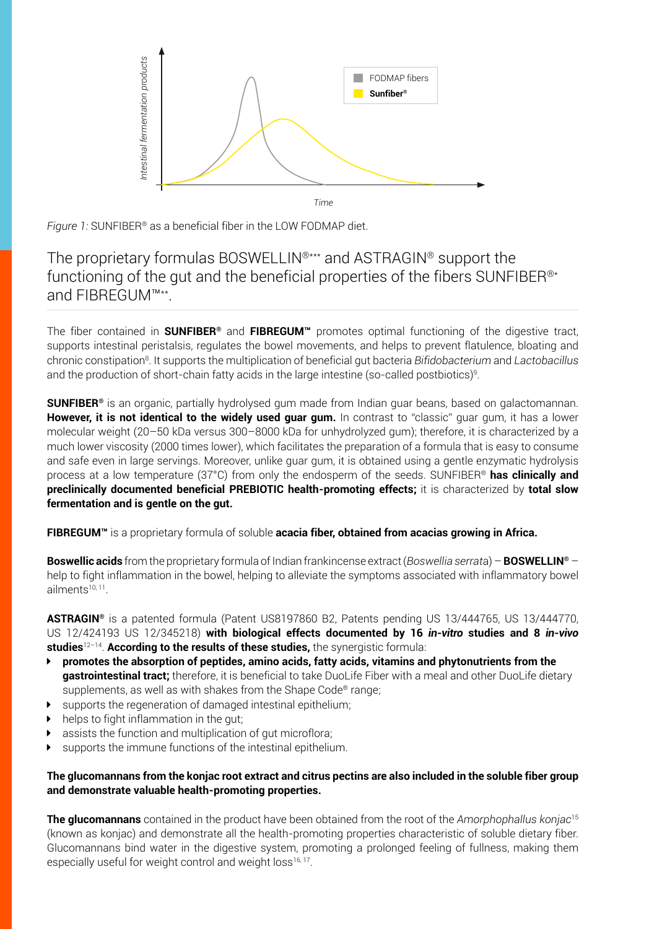

*Time*

*Figure 1:* SUNFIBER® as a beneficial fiber in the LOW FODMAP diet.

### The proprietary formulas BOSWELLIN®\*\*\* and ASTRAGIN® support the functioning of the gut and the beneficial properties of the fibers SUNFIBER®\* and FIBREGUM™\*\*.

The fiber contained in **SUNFIBER®** and **FIBREGUM™** promotes optimal functioning of the digestive tract, supports intestinal peristalsis, regulates the bowel movements, and helps to prevent flatulence, bloating and chronic constipation8 . It supports the multiplication of beneficial gut bacteria *Bifidobacterium* and *Lactobacillus* and the production of short-chain fatty acids in the large intestine (so-called postbiotics)<sup>9</sup> .

**SUNFIBER®** is an organic, partially hydrolysed gum made from Indian guar beans, based on galactomannan. **However, it is not identical to the widely used quar gum.** In contrast to "classic" guar gum, it has a lower molecular weight (20–50 kDa versus 300–8000 kDa for unhydrolyzed gum); therefore, it is characterized by a much lower viscosity (2000 times lower), which facilitates the preparation of a formula that is easy to consume and safe even in large servings. Moreover, unlike guar gum, it is obtained using a gentle enzymatic hydrolysis process at a low temperature (37°C) from only the endosperm of the seeds. SUNFIBER® **has clinically and preclinically documented beneficial PREBIOTIC health-promoting effects;** it is characterized by **total slow fermentation and is gentle on the gut.**

**FIBREGUM™** is a proprietary formula of soluble **acacia fiber, obtained from acacias growing in Africa.**

**Boswellic acids** from the proprietary formula of Indian frankincense extract (*Boswellia serrat*a) – **BOSWELLIN®** – help to fight inflammation in the bowel, helping to alleviate the symptoms associated with inflammatory bowel ailments10, 11.

**ASTRAGIN®** is a patented formula (Patent US8197860 B2, Patents pending US 13/444765, US 13/444770, US 12/424193 US 12/345218) **with biological effects documented by 16** *in-vitro* **studies and 8** *in-vivo*  **studies**12–14. **According to the results of these studies,** the synergistic formula:

- Ý **promotes the absorption of peptides, amino acids, fatty acids, vitamins and phytonutrients from the gastrointestinal tract;** therefore, it is beneficial to take DuoLife Fiber with a meal and other DuoLife dietary supplements, as well as with shakes from the Shape Code® range;
- $\blacktriangleright$  supports the regeneration of damaged intestinal epithelium;
- $\blacktriangleright$  helps to fight inflammation in the gut;
- $\blacktriangleright$  assists the function and multiplication of gut microflora;
- $\blacktriangleright$  supports the immune functions of the intestinal epithelium.

#### **The glucomannans from the konjac root extract and citrus pectins are also included in the soluble fiber group and demonstrate valuable health-promoting properties.**

**The glucomannans** contained in the product have been obtained from the root of the *Amorphophallus konjac*<sup>15</sup> (known as konjac) and demonstrate all the health-promoting properties characteristic of soluble dietary fiber. Glucomannans bind water in the digestive system, promoting a prolonged feeling of fullness, making them especially useful for weight control and weight loss<sup>16, 17</sup>.